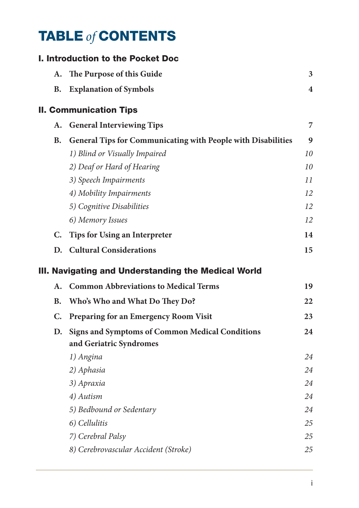## TABLE *of* CONTENTS

|           | I. Introduction to the Pocket Doc                            |                         |
|-----------|--------------------------------------------------------------|-------------------------|
| А.        | The Purpose of this Guide                                    | 3                       |
| В.        | <b>Explanation of Symbols</b>                                | $\overline{\mathbf{4}}$ |
|           | <b>II. Communication Tips</b>                                |                         |
| А.        | <b>General Interviewing Tips</b>                             | 7                       |
| <b>B.</b> | General Tips for Communicating with People with Disabilities | 9                       |
|           | 1) Blind or Visually Impaired                                | 10                      |
|           | 2) Deaf or Hard of Hearing                                   | 10                      |
|           | 3) Speech Impairments                                        | 11                      |
|           | 4) Mobility Impairments                                      | 12                      |
|           | 5) Cognitive Disabilities                                    | 12                      |
|           | 6) Memory Issues                                             | 12                      |
| C.        | <b>Tips for Using an Interpreter</b>                         | 14                      |
| D.        | <b>Cultural Considerations</b>                               | 15                      |
|           | III. Navigating and Understanding the Medical World          |                         |
| А.        | <b>Common Abbreviations to Medical Terms</b>                 | 19                      |
| <b>B.</b> | Who's Who and What Do They Do?                               | 22                      |
| C.        | Preparing for an Emergency Room Visit                        | 23                      |
| D.        | <b>Signs and Symptoms of Common Medical Conditions</b>       | 24                      |
|           | and Geriatric Syndromes                                      |                         |
|           | 1) Angina                                                    | 24                      |
|           | 2) Aphasia                                                   | 24                      |
|           | 3) Apraxia                                                   | 24                      |
|           | 4) Autism                                                    | 24                      |
|           | 5) Bedbound or Sedentary                                     | 24                      |
|           | 6) Cellulitis                                                | 25                      |
|           |                                                              |                         |
|           | 7) Cerebral Palsy                                            | 25                      |
|           | 8) Cerebrovascular Accident (Stroke)                         | 25                      |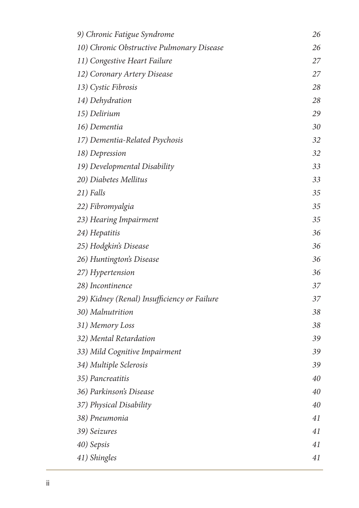| 9) Chronic Fatigue Syndrome                 | 26 |
|---------------------------------------------|----|
| 10) Chronic Obstructive Pulmonary Disease   | 26 |
| 11) Congestive Heart Failure                | 27 |
| 12) Coronary Artery Disease                 | 27 |
| 13) Cystic Fibrosis                         | 28 |
| 14) Dehydration                             | 28 |
| 15) Delirium                                | 29 |
| 16) Dementia                                | 30 |
| 17) Dementia-Related Psychosis              | 32 |
| 18) Depression                              | 32 |
| 19) Developmental Disability                | 33 |
| 20) Diabetes Mellitus                       | 33 |
| 21) Falls                                   | 35 |
| 22) Fibromyalgia                            | 35 |
| 23) Hearing Impairment                      | 35 |
| 24) Hepatitis                               | 36 |
| 25) Hodgkin's Disease                       | 36 |
| 26) Huntington's Disease                    | 36 |
| 27) Hypertension                            | 36 |
| 28) Incontinence                            | 37 |
| 29) Kidney (Renal) Insufficiency or Failure | 37 |
| 30) Malnutrition                            | 38 |
| 31) Memory Loss                             | 38 |
| 32) Mental Retardation                      | 39 |
| 33) Mild Cognitive Impairment               | 39 |
| 34) Multiple Sclerosis                      | 39 |
| 35) Pancreatitis                            | 40 |
| 36) Parkinson's Disease                     | 40 |
| 37) Physical Disability                     | 40 |
| 38) Pneumonia                               | 41 |
| 39) Seizures                                | 41 |
| 40) Sepsis                                  | 41 |
| 41) Shingles                                | 41 |
|                                             |    |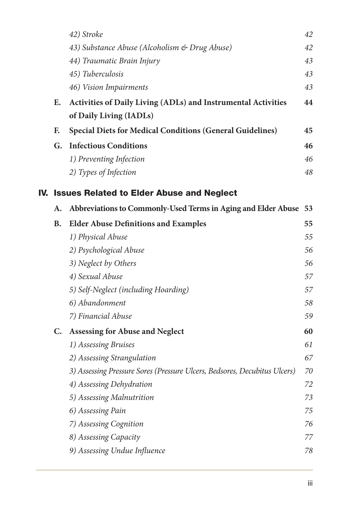|     |    | 42) Stroke                                                                | 42 |
|-----|----|---------------------------------------------------------------------------|----|
|     |    | 43) Substance Abuse (Alcoholism & Drug Abuse)                             | 42 |
|     |    | 44) Traumatic Brain Injury                                                | 43 |
|     |    | 45) Tuberculosis                                                          | 43 |
|     |    | 46) Vision Impairments                                                    | 43 |
|     | Е. | Activities of Daily Living (ADLs) and Instrumental Activities             | 44 |
|     |    | of Daily Living (IADLs)                                                   |    |
|     | F. | <b>Special Diets for Medical Conditions (General Guidelines)</b>          | 45 |
|     | G. | <b>Infectious Conditions</b>                                              | 46 |
|     |    | 1) Preventing Infection                                                   | 46 |
|     |    | 2) Types of Infection                                                     | 48 |
| IV. |    | <b>Issues Related to Elder Abuse and Neglect</b>                          |    |
|     | А. | Abbreviations to Commonly-Used Terms in Aging and Elder Abuse             | 53 |
|     | В. | <b>Elder Abuse Definitions and Examples</b>                               | 55 |
|     |    | 1) Physical Abuse                                                         | 55 |
|     |    | 2) Psychological Abuse                                                    | 56 |
|     |    | 3) Neglect by Others                                                      | 56 |
|     |    | 4) Sexual Abuse                                                           | 57 |
|     |    | 5) Self-Neglect (including Hoarding)                                      | 57 |
|     |    | 6) Abandonment                                                            | 58 |
|     |    | 7) Financial Abuse                                                        | 59 |
|     | C. | <b>Assessing for Abuse and Neglect</b>                                    | 60 |
|     |    | 1) Assessing Bruises                                                      | 61 |
|     |    | 2) Assessing Strangulation                                                | 67 |
|     |    | 3) Assessing Pressure Sores (Pressure Ulcers, Bedsores, Decubitus Ulcers) | 70 |
|     |    | 4) Assessing Dehydration                                                  | 72 |
|     |    | 5) Assessing Malnutrition                                                 | 73 |
|     |    | 6) Assessing Pain                                                         | 75 |
|     |    | 7) Assessing Cognition                                                    | 76 |
|     |    | 8) Assessing Capacity                                                     | 77 |
|     |    | 9) Assessing Undue Influence                                              | 78 |